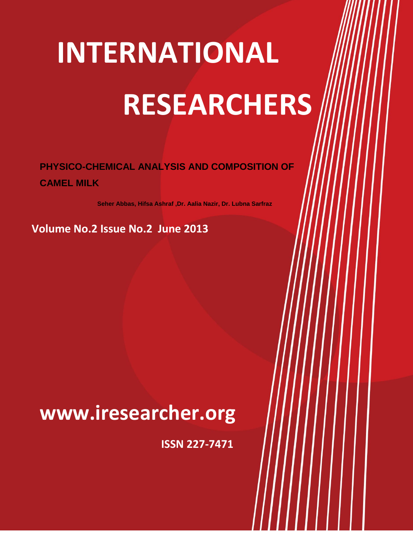# **INTERNATIONAL RESEARCHERS INTERNATIONAL**

77

### **PHYSICO-CHEMICAL ANALYSIS AND COMPOSITION OF CAMEL MILK**

**Seher Abbas, Hifsa Ashraf ,Dr. Aalia Nazir, Dr. Lubna Sarfraz**

**Volume No.2 Issue No.2 June 2013**

## **WWW.IRESEARCHER.ORG www.iresearcher.org**

**ISSN 227-7471**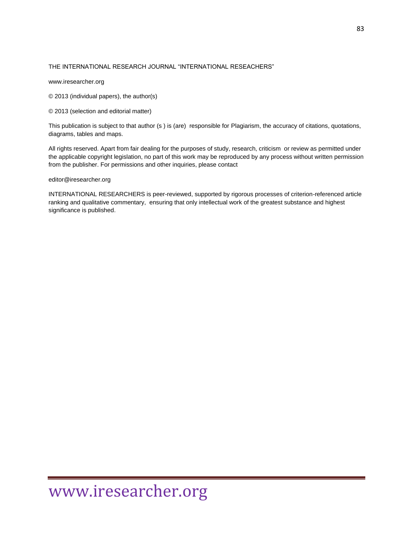#### THE INTERNATIONAL RESEARCH JOURNAL "INTERNATIONAL RESEACHERS"

www.iresearcher.org

© 2013 (individual papers), the author(s)

© 2013 (selection and editorial matter)

This publication is subject to that author (s ) is (are) responsible for Plagiarism, the accuracy of citations, quotations, diagrams, tables and maps.

All rights reserved. Apart from fair dealing for the purposes of study, research, criticism or review as permitted under the applicable copyright legislation, no part of this work may be reproduced by any process without written permission from the publisher. For permissions and other inquiries, please contact

editor@iresearcher.org

INTERNATIONAL RESEARCHERS is peer-reviewed, supported by rigorous processes of criterion-referenced article ranking and qualitative commentary, ensuring that only intellectual work of the greatest substance and highest significance is published.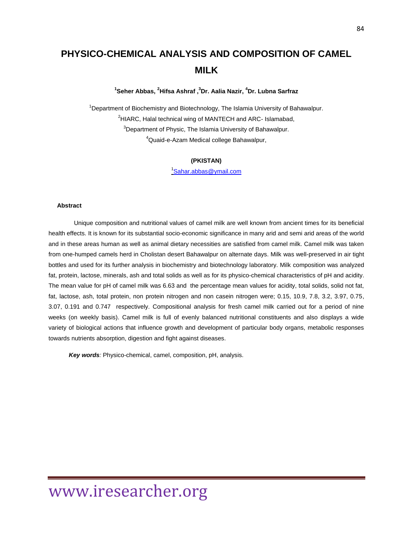### **PHYSICO-CHEMICAL ANALYSIS AND COMPOSITION OF CAMEL MILK**

**1 Seher Abbas, <sup>2</sup>Hifsa Ashraf , <sup>3</sup>Dr. Aalia Nazir, <sup>4</sup>Dr. Lubna Sarfraz**

<sup>1</sup>Department of Biochemistry and Biotechnology, The Islamia University of Bahawalpur. HIARC, Halal technical wing of MANTECH and ARC- Islamabad, Department of Physic, The Islamia University of Bahawalpur. Quaid-e-Azam Medical college Bahawalpur,

#### **(PKISTAN)**

1 [Sahar.abbas@ymail.com](mailto:Sahar.abbas@ymail.com)

#### **Abstract**

 Unique composition and nutritional values of camel milk are well known from ancient times for its beneficial health effects. It is known for its substantial socio-economic significance in many arid and semi arid areas of the world and in these areas human as well as animal dietary necessities are satisfied from camel milk. Camel milk was taken from one-humped camels herd in Cholistan desert Bahawalpur on alternate days. Milk was well-preserved in air tight bottles and used for its further analysis in biochemistry and biotechnology laboratory. Milk composition was analyzed fat, protein, lactose, minerals, ash and total solids as well as for its physico-chemical characteristics of pH and acidity. The mean value for pH of camel milk was 6.63 and the percentage mean values for acidity, total solids, solid not fat, fat, lactose, ash, total protein, non protein nitrogen and non casein nitrogen were; 0.15, 10.9, 7.8, 3.2, 3.97, 0.75, 3.07, 0.191 and 0.747 respectively. Compositional analysis for fresh camel milk carried out for a period of nine weeks (on weekly basis). Camel milk is full of evenly balanced nutritional constituents and also displays a wide variety of biological actions that influence growth and development of particular body organs, metabolic responses towards nutrients absorption, digestion and fight against diseases.

Key words: Physico-chemical, camel, composition, pH, analysis.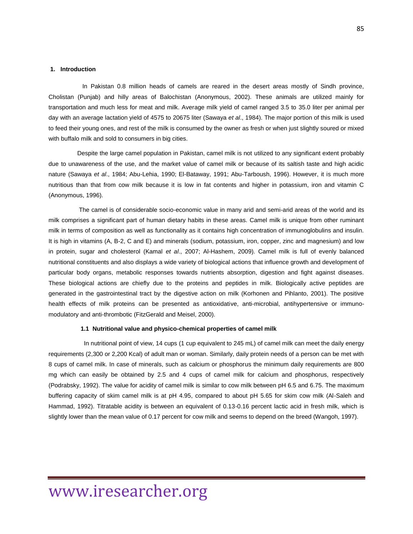#### **1. Introduction**

 In Pakistan 0.8 million heads of camels are reared in the desert areas mostly of Sindh province, Cholistan (Punjab) and hilly areas of Balochistan (Anonymous, 2002). These animals are utilized mainly for transportation and much less for meat and milk. Average milk yield of camel ranged 3.5 to 35.0 liter per animal per day with an average lactation yield of 4575 to 20675 liter (Sawaya *et al*., 1984). The major portion of this milk is used to feed their young ones, and rest of the milk is consumed by the owner as fresh or when just slightly soured or mixed with buffalo milk and sold to consumers in big cities.

 Despite the large camel population in Pakistan, camel milk is not utilized to any significant extent probably due to unawareness of the use, and the market value of camel milk or because of its saltish taste and high acidic nature (Sawaya *et al*., 1984; Abu-Lehia, 1990; El-Bataway, 1991; Abu-Tarboush, 1996). However, it is much more nutritious than that from cow milk because it is low in fat contents and higher in potassium, iron and vitamin C (Anonymous, 1996).

 The camel is of considerable socio-economic value in many arid and semi-arid areas of the world and its milk comprises a significant part of human dietary habits in these areas. Camel milk is unique from other ruminant milk in terms of composition as well as functionality as it contains high concentration of immunoglobulins and insulin. It is high in vitamins (A, B-2, C and E) and minerals (sodium, potassium, iron, copper, zinc and magnesium) and low in protein, sugar and cholesterol (Kamal *et al*., 2007; Al-Hashem, 2009). Camel milk is full of evenly balanced nutritional constituents and also displays a wide variety of biological actions that influence growth and development of particular body organs, metabolic responses towards nutrients absorption, digestion and fight against diseases. These biological actions are chiefly due to the proteins and peptides in milk. Biologically active peptides are generated in the gastrointestinal tract by the digestive action on milk (Korhonen and Pihlanto, 2001). The positive health effects of milk proteins can be presented as antioxidative, anti-microbial, antihypertensive or immunomodulatory and anti-thrombotic (FitzGerald and Meisel, 2000).

#### **1.1 Nutritional value and physico-chemical properties of camel milk**

 In nutritional point of view, 14 cups (1 cup equivalent to 245 mL) of camel milk can meet the daily energy requirements (2,300 or 2,200 Kcal) of adult man or woman. Similarly, daily protein needs of a person can be met with 8 cups of camel milk. In case of minerals, such as calcium or phosphorus the minimum daily requirements are 800 mg which can easily be obtained by 2.5 and 4 cups of camel milk for calcium and phosphorus, respectively (Podrabsky, 1992). The value for acidity of camel milk is similar to cow milk between pH 6.5 and 6.75. The maximum buffering capacity of skim camel milk is at pH 4.95, compared to about pH 5.65 for skim cow milk (Al-Saleh and Hammad, 1992). Titratable acidity is between an equivalent of 0.13-0.16 percent lactic acid in fresh milk, which is slightly lower than the mean value of 0.17 percent for cow milk and seems to depend on the breed (Wangoh, 1997).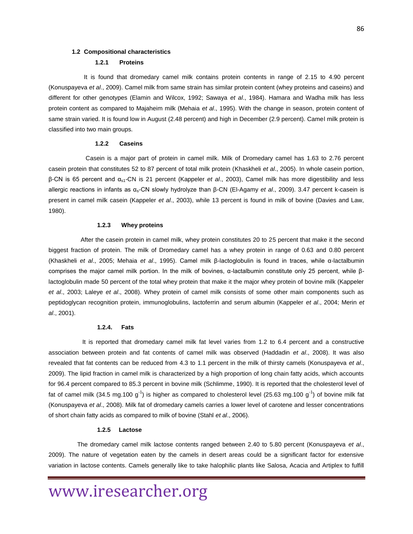#### **1.2 Compositional characteristics**

#### **1.2.1 Proteins**

It is found that dromedary camel milk contains protein contents in range of 2.15 to 4.90 percent (Konuspayeva *et al*., 2009). Camel milk from same strain has similar protein content (whey proteins and caseins) and different for other genotypes (Elamin and Wilcox, 1992; Sawaya *et al*., 1984). Hamara and Wadha milk has less protein content as compared to Majaheim milk (Mehaia *et al*., 1995). With the change in season, protein content of same strain varied. It is found low in August (2.48 percent) and high in December (2.9 percent). Camel milk protein is classified into two main groups.

#### **1.2.2 Caseins**

 Casein is a major part of protein in camel milk. Milk of Dromedary camel has 1.63 to 2.76 percent casein protein that constitutes 52 to 87 percent of total milk protein (Khaskheli *et al*., 2005). In whole casein portion, β-CN is 65 percent and αs1-CN is 21 percent (Kappeler *et al*., 2003), Camel milk has more digestibility and less allergic reactions in infants as αs-CN slowly hydrolyze than β-CN (El-Agamy *et al*., 2009). 3.47 percent k-casein is present in camel milk casein (Kappeler *et al*., 2003), while 13 percent is found in milk of bovine (Davies and Law, 1980).

#### **1.2.3 Whey proteins**

 After the casein protein in camel milk, whey protein constitutes 20 to 25 percent that make it the second biggest fraction of protein. The milk of Dromedary camel has a whey protein in range of 0.63 and 0.80 percent (Khaskheli *et al*., 2005; Mehaia *et al*., 1995). Camel milk β-lactoglobulin is found in traces, while α-lactalbumin comprises the major camel milk portion. In the milk of bovines, α-lactalbumin constitute only 25 percent, while βlactoglobulin made 50 percent of the total whey protein that make it the major whey protein of bovine milk (Kappeler *et al*., 2003; Laleye *et al*., 2008). Whey protein of camel milk consists of some other main components such as peptidoglycan recognition protein, immunoglobulins, lactoferrin and serum albumin (Kappeler *et al*., 2004; Merin *et al*., 2001).

#### **1.2.4. Fats**

It is reported that dromedary camel milk fat level varies from 1.2 to 6.4 percent and a constructive association between protein and fat contents of camel milk was observed (Haddadin *et al*., 2008). It was also revealed that fat contents can be reduced from 4.3 to 1.1 percent in the milk of thirsty camels (Konuspayeva *et al*., 2009). The lipid fraction in camel milk is characterized by a high proportion of long chain fatty acids, which accounts for 96.4 percent compared to 85.3 percent in bovine milk (Schlimme, 1990). It is reported that the cholesterol level of fat of camel milk (34.5 mg.100 g<sup>-1</sup>) is higher as compared to cholesterol level (25.63 mg.100 g<sup>-1</sup>) of bovine milk fat (Konuspayeva *et al*., 2008). Milk fat of dromedary camels carries a lower level of carotene and lesser concentrations of short chain fatty acids as compared to milk of bovine (Stahl *et al*., 2006).

#### **1.2.5 Lactose**

 The dromedary camel milk lactose contents ranged between 2.40 to 5.80 percent (Konuspayeva *et al*., 2009). The nature of vegetation eaten by the camels in desert areas could be a significant factor for extensive variation in lactose contents. Camels generally like to take halophilic plants like Salosa, Acacia and Artiplex to fulfill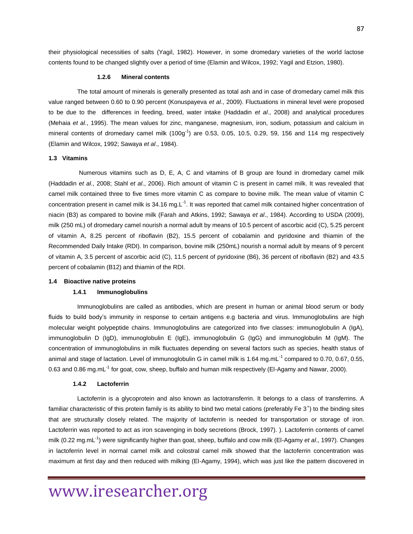their physiological necessities of salts (Yagil, 1982). However, in some dromedary varieties of the world lactose contents found to be changed slightly over a period of time (Elamin and Wilcox, 1992; Yagil and Etzion, 1980).

#### **1.2.6 Mineral contents**

 The total amount of minerals is generally presented as total ash and in case of dromedary camel milk this value ranged between 0.60 to 0.90 percent (Konuspayeva *et al*., 2009). Fluctuations in mineral level were proposed to be due to the differences in feeding, breed, water intake (Haddadin *et al*., 2008) and analytical procedures (Mehaia *et al*., 1995). The mean values for zinc, manganese, magnesium, iron, sodium, potassium and calcium in mineral contents of dromedary camel milk  $(100g<sup>-1</sup>)$  are 0.53, 0.05, 10.5, 0.29, 59, 156 and 114 mg respectively (Elamin and Wilcox, 1992; Sawaya *et al*., 1984).

#### **1.3 Vitamins**

 Numerous vitamins such as D, E, A, C and vitamins of B group are found in dromedary camel milk (Haddadin *et al*., 2008; Stahl *et al*., 2006). Rich amount of vitamin C is present in camel milk. It was revealed that camel milk contained three to five times more vitamin C as compare to bovine milk. The mean value of vitamin C concentration present in camel milk is 34.16 mg.L<sup>-1</sup>. It was reported that camel milk contained higher concentration of niacin (B3) as compared to bovine milk (Farah and Atkins, 1992; Sawaya *et al*., 1984). According to USDA (2009), milk (250 mL) of dromedary camel nourish a normal adult by means of 10.5 percent of ascorbic acid (C), 5.25 percent of vitamin A, 8.25 percent of riboflavin (B2), 15.5 percent of cobalamin and pyridoxine and thiamin of the Recommended Daily Intake (RDI). In comparison, bovine milk (250mL) nourish a normal adult by means of 9 percent of vitamin A, 3.5 percent of ascorbic acid (C), 11.5 percent of pyridoxine (B6), 36 percent of riboflavin (B2) and 43.5 percent of cobalamin (B12) and thiamin of the RDI.

#### **1.4 Bioactive native proteins**

#### **1.4.1 Immunoglobulins**

 Immunoglobulins are called as antibodies, which are present in human or animal blood serum or body fluids to build body's immunity in response to certain antigens e.g bacteria and virus. Immunoglobulins are high molecular weight polypeptide chains. Immunoglobulins are categorized into five classes: immunoglobulin A (IgA), immunoglobulin D (IgD), immunoglobulin E (IgE), immunoglobulin G (IgG) and immunoglobulin M (IgM). The concentration of immunoglobulins in milk fluctuates depending on several factors such as species, health status of animal and stage of lactation. Level of immunoglobulin G in camel milk is 1.64 mg.mL<sup>-1</sup> compared to 0.70, 0.67, 0.55, 0.63 and 0.86 mg.mL<sup>-1</sup> for goat, cow, sheep, buffalo and human milk respectively (El-Agamy and Nawar, 2000).

#### **1.4.2 Lactoferrin**

 Lactoferrin is a glycoprotein and also known as lactotransferrin. It belongs to a class of transferrins. A familiar characteristic of this protein family is its ability to bind two metal cations (preferably Fe  $3^+$ ) to the binding sites that are structurally closely related. The majority of lactoferrin is needed for transportation or storage of iron. Lactoferrin was reported to act as iron scavenging in body secretions (Brock, 1997). ). Lactoferrin contents of camel milk (0.22 mg.mL<sup>-1</sup>) were significantly higher than goat, sheep, buffalo and cow milk (EI-Agamy *et al.*, 1997). Changes in lactoferrin level in normal camel milk and colostral camel milk showed that the lactoferrin concentration was maximum at first day and then reduced with milking (El-Agamy, 1994), which was just like the pattern discovered in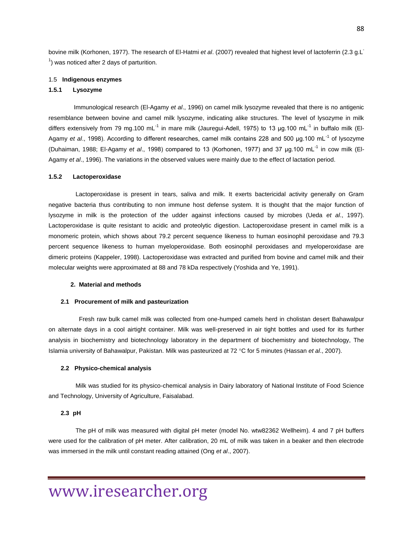bovine milk (Korhonen, 1977). The research of El-Hatmi *et al*. (2007) revealed that highest level of lactoferrin (2.3 g.L- $<sup>1</sup>$ ) was noticed after 2 days of parturition.</sup>

#### 1.5 **Indigenous enzymes**

#### **1.5.1 Lysozyme**

 Immunological research (El-Agamy *et al*., 1996) on camel milk lysozyme revealed that there is no antigenic resemblance between bovine and camel milk lysozyme, indicating alike structures. The level of lysozyme in milk differs extensively from 79 mg.100 mL<sup>-1</sup> in mare milk (Jauregui-Adell, 1975) to 13 μg.100 mL<sup>-1</sup> in buffalo milk (El-Agamy *et al.*, 1998). According to different researches, camel milk contains 228 and 500 µg.100 mL<sup>-1</sup> of lysozyme (Duhaiman, 1988; El-Agamy *et al.*, 1998) compared to 13 (Korhonen, 1977) and 37 µg.100 mL<sup>-1</sup> in cow milk (El-Agamy *et al*., 1996). The variations in the observed values were mainly due to the effect of lactation period.

#### **1.5.2 Lactoperoxidase**

 Lactoperoxidase is present in tears, saliva and milk. It exerts bactericidal activity generally on Gram negative bacteria thus contributing to non immune host defense system. It is thought that the major function of lysozyme in milk is the protection of the udder against infections caused by microbes (Ueda *et al*., 1997). Lactoperoxidase is quite resistant to acidic and proteolytic digestion. Lactoperoxidase present in camel milk is a monomeric protein, which shows about 79.2 percent sequence likeness to human eosinophil peroxidase and 79.3 percent sequence likeness to human myeloperoxidase. Both eosinophil peroxidases and myeloperoxidase are dimeric proteins (Kappeler, 1998). Lactoperoxidase was extracted and purified from bovine and camel milk and their molecular weights were approximated at 88 and 78 kDa respectively (Yoshida and Ye, 1991).

#### **2. Material and methods**

#### **2.1 Procurement of milk and pasteurization**

 Fresh raw bulk camel milk was collected from one-humped camels herd in cholistan desert Bahawalpur on alternate days in a cool airtight container. Milk was well-preserved in air tight bottles and used for its further analysis in biochemistry and biotechnology laboratory in the department of biochemistry and biotechnology, The Islamia university of Bahawalpur, Pakistan. Milk was pasteurized at 72 °C for 5 minutes (Hassan *et al.*, 2007).

#### **2.2 Physico-chemical analysis**

 Milk was studied for its physico-chemical analysis in Dairy laboratory of National Institute of Food Science and Technology, University of Agriculture, Faisalabad.

#### **2.3 pH**

 The pH of milk was measured with digital pH meter (model No. wtw82362 Wellheim). 4 and 7 pH buffers were used for the calibration of pH meter. After calibration, 20 mL of milk was taken in a beaker and then electrode was immersed in the milk until constant reading attained (Ong *et al*., 2007).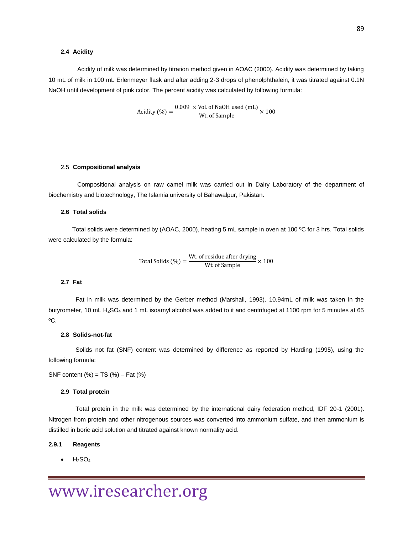#### **2.4 Acidity**

 Acidity of milk was determined by titration method given in AOAC (2000). Acidity was determined by taking 10 mL of milk in 100 mL Erlenmeyer flask and after adding 2-3 drops of phenolphthalein, it was titrated against 0.1N NaOH until development of pink color. The percent acidity was calculated by following formula:

$$
Acidity (\%) = \frac{0.009 \times \text{Vol. of NaOH used (mL)}}{\text{Wt. of Sample}} \times 100
$$

#### 2.5 **Compositional analysis**

 Compositional analysis on raw camel milk was carried out in Dairy Laboratory of the department of biochemistry and biotechnology, The Islamia university of Bahawalpur, Pakistan.

#### **2.6 Total solids**

 Total solids were determined by (AOAC, 2000), heating 5 mL sample in oven at 100 ºC for 3 hrs. Total solids were calculated by the formula:

Total Solids (
$$
\%
$$
) =  $\frac{\text{Wt. of residue after drying}}{\text{Wt. of Sample}} \times 100$ 

#### **2.7 Fat**

 Fat in milk was determined by the Gerber method (Marshall, 1993). 10.94mL of milk was taken in the butyrometer, 10 mL H<sub>2</sub>SO<sub>4</sub> and 1 mL isoamyl alcohol was added to it and centrifuged at 1100 rpm for 5 minutes at 65 ºC.

#### **2.8 Solids-not-fat**

 Solids not fat (SNF) content was determined by difference as reported by Harding (1995), using the following formula:

SNF content  $(\%)$  = TS  $(\%)$  – Fat  $(\%)$ 

#### **2.9 Total protein**

 Total protein in the milk was determined by the international dairy federation method, IDF 20-1 (2001). Nitrogen from protein and other nitrogenous sources was converted into ammonium sulfate, and then ammonium is distilled in boric acid solution and titrated against known normality acid.

#### **2.9.1 Reagents**

 $H<sub>2</sub>SO<sub>4</sub>$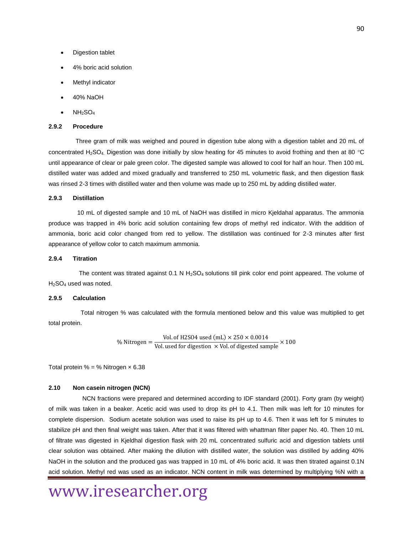- Digestion tablet
- 4% boric acid solution
- Methyl indicator
- 40% NaOH
- $NH<sub>2</sub>SO<sub>4</sub>$

#### **2.9.2 Procedure**

 Three gram of milk was weighed and poured in digestion tube along with a digestion tablet and 20 mL of concentrated H<sub>2</sub>SO<sub>4</sub>. Digestion was done initially by slow heating for 45 minutes to avoid frothing and then at 80 °C until appearance of clear or pale green color. The digested sample was allowed to cool for half an hour. Then 100 mL distilled water was added and mixed gradually and transferred to 250 mL volumetric flask, and then digestion flask was rinsed 2-3 times with distilled water and then volume was made up to 250 mL by adding distilled water.

#### **2.9.3 Distillation**

 10 mL of digested sample and 10 mL of NaOH was distilled in micro Kjeldahal apparatus. The ammonia produce was trapped in 4% boric acid solution containing few drops of methyl red indicator. With the addition of ammonia, boric acid color changed from red to yellow. The distillation was continued for 2-3 minutes after first appearance of yellow color to catch maximum ammonia.

#### **2.9.4 Titration**

The content was titrated against 0.1 N  $H_2$ SO<sub>4</sub> solutions till pink color end point appeared. The volume of  $H_2SO_4$  used was noted.

#### **2.9.5 Calculation**

 Total nitrogen % was calculated with the formula mentioned below and this value was multiplied to get total protein.

% Nitrogen = 
$$
\frac{\text{Vol. of H2SO4 used (mL) } \times 250 \times 0.0014}{\text{Vol. used for digestion } \times \text{Vol. of digested sample}} \times 100
$$

Total protein % = % Nitrogen × 6.38

#### **2.10 Non casein nitrogen (NCN)**

 NCN fractions were prepared and determined according to IDF standard (2001). Forty gram (by weight) of milk was taken in a beaker. Acetic acid was used to drop its pH to 4.1. Then milk was left for 10 minutes for complete dispersion. Sodium acetate solution was used to raise its pH up to 4.6. Then it was left for 5 minutes to stabilize pH and then final weight was taken. After that it was filtered with whattman filter paper No. 40. Then 10 mL of filtrate was digested in Kjeldhal digestion flask with 20 mL concentrated sulfuric acid and digestion tablets until clear solution was obtained. After making the dilution with distilled water, the solution was distilled by adding 40% NaOH in the solution and the produced gas was trapped in 10 mL of 4% boric acid. It was then titrated against 0.1N acid solution. Methyl red was used as an indicator. NCN content in milk was determined by multiplying %N with a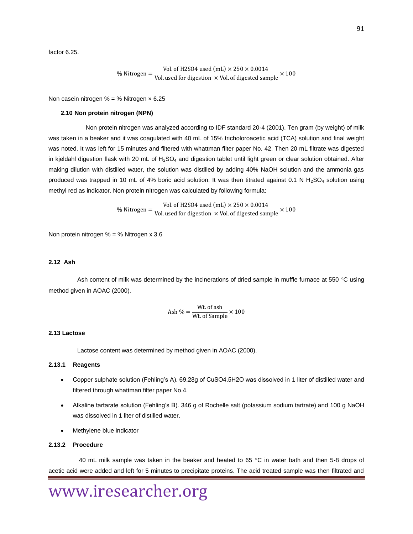factor 6.25.

% Nitrogen = 
$$
\frac{\text{Vol. of H2SO4 used (mL) } \times 250 \times 0.0014}{\text{Vol. used for digestion } \times \text{Vol. of digested sample}} \times 100
$$

Non casein nitrogen  $% =$  % Nitrogen  $\times$  6.25

#### **2.10 Non protein nitrogen (NPN)**

 Non protein nitrogen was analyzed according to IDF standard 20-4 (2001). Ten gram (by weight) of milk was taken in a beaker and it was coagulated with 40 mL of 15% tricholoroacetic acid (TCA) solution and final weight was noted. It was left for 15 minutes and filtered with whattman filter paper No. 42. Then 20 mL filtrate was digested in kjeldahl digestion flask with 20 mL of H<sub>2</sub>SO<sub>4</sub> and digestion tablet until light green or clear solution obtained. After making dilution with distilled water, the solution was distilled by adding 40% NaOH solution and the ammonia gas produced was trapped in 10 mL of 4% boric acid solution. It was then titrated against 0.1 N  $H_2SO_4$  solution using methyl red as indicator. Non protein nitrogen was calculated by following formula:

% Nitrogen = 
$$
\frac{\text{Vol. of H2SO4 used (mL) } \times 250 \times 0.0014}{\text{Vol. used for digestion } \times \text{Vol. of digested sample}} \times 100
$$

Non protein nitrogen % = % Nitrogen x 3.6

#### **2.12 Ash**

Ash content of milk was determined by the incinerations of dried sample in muffle furnace at 550  $\degree$ C using method given in AOAC (2000).

$$
Ash \% = \frac{Wt. of ash}{Wt. of Sample} \times 100
$$

#### **2.13 Lactose**

Lactose content was determined by method given in AOAC (2000).

#### **2.13.1 Reagents**

- Copper sulphate solution (Fehling's A). 69.28g of CuSO4.5H2O was dissolved in 1 liter of distilled water and filtered through whattman filter paper No.4.
- Alkaline tartarate solution (Fehling's B). 346 g of Rochelle salt (potassium sodium tartrate) and 100 g NaOH was dissolved in 1 liter of distilled water.
- Methylene blue indicator

#### **2.13.2 Procedure**

40 mL milk sample was taken in the beaker and heated to 65  $^{\circ}$ C in water bath and then 5-8 drops of acetic acid were added and left for 5 minutes to precipitate proteins. The acid treated sample was then filtrated and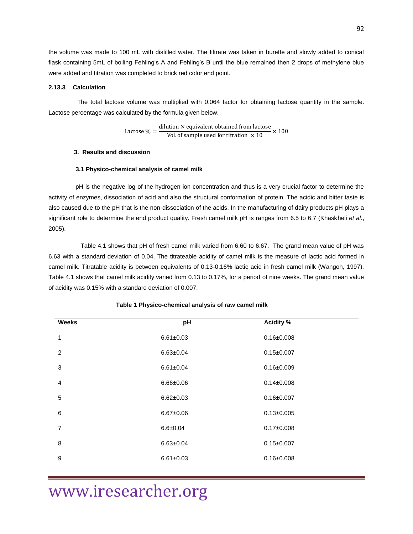the volume was made to 100 mL with distilled water. The filtrate was taken in burette and slowly added to conical flask containing 5mL of boiling Fehling's A and Fehling's B until the blue remained then 2 drops of methylene blue were added and titration was completed to brick red color end point.

#### **2.13.3 Calculation**

 The total lactose volume was multiplied with 0.064 factor for obtaining lactose quantity in the sample. Lactose percentage was calculated by the formula given below.

Lactose 
$$
\% = \frac{\text{dilution} \times \text{equivalent obtained from lactose}}{\text{Vol. of sample used for titration } \times 100} \times 100
$$

#### **3. Results and discussion**

#### **3.1 Physico-chemical analysis of camel milk**

 pH is the negative log of the hydrogen ion concentration and thus is a very crucial factor to determine the activity of enzymes, dissociation of acid and also the structural conformation of protein. The acidic and bitter taste is also caused due to the pH that is the non-dissociation of the acids. In the manufacturing of dairy products pH plays a significant role to determine the end product quality. Fresh camel milk pH is ranges from 6.5 to 6.7 (Khaskheli *et al*., 2005).

 Table 4.1 shows that pH of fresh camel milk varied from 6.60 to 6.67. The grand mean value of pH was 6.63 with a standard deviation of 0.04. The titrateable acidity of camel milk is the measure of lactic acid formed in camel milk. Titratable acidity is between equivalents of 0.13-0.16% lactic acid in fresh camel milk (Wangoh, 1997). Table 4.1 shows that camel milk acidity varied from 0.13 to 0.17%, for a period of nine weeks. The grand mean value of acidity was 0.15% with a standard deviation of 0.007.

| <b>Weeks</b>   | pH              | <b>Acidity %</b> |  |  |
|----------------|-----------------|------------------|--|--|
| $\overline{1}$ | $6.61 \pm 0.03$ | $0.16 \pm 0.008$ |  |  |
| 2              | $6.63 \pm 0.04$ | $0.15 \pm 0.007$ |  |  |
| 3              | $6.61 \pm 0.04$ | $0.16 \pm 0.009$ |  |  |
| $\overline{4}$ | $6.66 \pm 0.06$ | $0.14 \pm 0.008$ |  |  |
| 5              | $6.62 \pm 0.03$ | $0.16 \pm 0.007$ |  |  |
| $\,6$          | $6.67 \pm 0.06$ | $0.13 \pm 0.005$ |  |  |
| $\overline{7}$ | $6.6 + 0.04$    | $0.17 \pm 0.008$ |  |  |
| 8              | $6.63 \pm 0.04$ | $0.15 \pm 0.007$ |  |  |
| 9              | $6.61 \pm 0.03$ | $0.16 \pm 0.008$ |  |  |

#### **Table 1 Physico-chemical analysis of raw camel milk**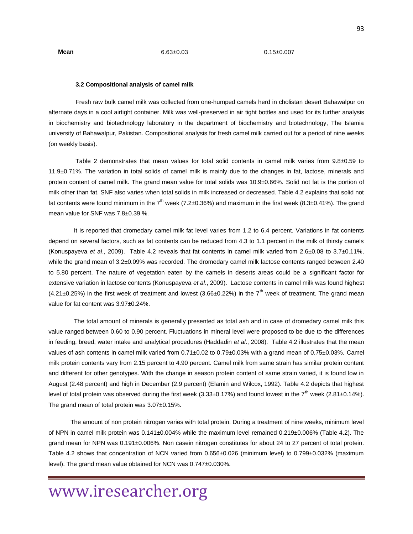#### **3.2 Compositional analysis of camel milk**

 Fresh raw bulk camel milk was collected from one-humped camels herd in cholistan desert Bahawalpur on alternate days in a cool airtight container. Milk was well-preserved in air tight bottles and used for its further analysis in biochemistry and biotechnology laboratory in the department of biochemistry and biotechnology, The Islamia university of Bahawalpur, Pakistan. Compositional analysis for fresh camel milk carried out for a period of nine weeks (on weekly basis).

 Table 2 demonstrates that mean values for total solid contents in camel milk varies from 9.8±0.59 to 11.9±0.71%. The variation in total solids of camel milk is mainly due to the changes in fat, lactose, minerals and protein content of camel milk. The grand mean value for total solids was 10.9±0.66%. Solid not fat is the portion of milk other than fat. SNF also varies when total solids in milk increased or decreased. Table 4.2 explains that solid not fat contents were found minimum in the  $7<sup>th</sup>$  week (7.2±0.36%) and maximum in the first week (8.3±0.41%). The grand mean value for SNF was 7.8±0.39 %.

It is reported that dromedary camel milk fat level varies from 1.2 to 6.4 percent. Variations in fat contents depend on several factors, such as fat contents can be reduced from 4.3 to 1.1 percent in the milk of thirsty camels (Konuspayeva *et al*., 2009). Table 4.2 reveals that fat contents in camel milk varied from 2.6±0.08 to 3.7±0.11%, while the grand mean of 3.2±0.09% was recorded. The dromedary camel milk lactose contents ranged between 2.40 to 5.80 percent. The nature of vegetation eaten by the camels in deserts areas could be a significant factor for extensive variation in lactose contents (Konuspayeva *et al*., 2009). Lactose contents in camel milk was found highest  $(4.21\pm0.25%)$  in the first week of treatment and lowest (3.66 $\pm$ 0.22%) in the 7<sup>th</sup> week of treatment. The grand mean value for fat content was 3.97±0.24%.

 The total amount of minerals is generally presented as total ash and in case of dromedary camel milk this value ranged between 0.60 to 0.90 percent. Fluctuations in mineral level were proposed to be due to the differences in feeding, breed, water intake and analytical procedures (Haddadin *et al*., 2008). Table 4.2 illustrates that the mean values of ash contents in camel milk varied from 0.71±0.02 to 0.79±0.03% with a grand mean of 0.75±0.03%. Camel milk protein contents vary from 2.15 percent to 4.90 percent. Camel milk from same strain has similar protein content and different for other genotypes. With the change in season protein content of same strain varied, it is found low in August (2.48 percent) and high in December (2.9 percent) (Elamin and Wilcox, 1992). Table 4.2 depicts that highest level of total protein was observed during the first week (3.33±0.17%) and found lowest in the 7<sup>th</sup> week (2.81±0.14%). The grand mean of total protein was 3.07±0.15%.

 The amount of non protein nitrogen varies with total protein. During a treatment of nine weeks, minimum level of NPN in camel milk protein was 0.141±0.004% while the maximum level remained 0.219±0.006% (Table 4.2). The grand mean for NPN was 0.191±0.006%. Non casein nitrogen constitutes for about 24 to 27 percent of total protein. Table 4.2 shows that concentration of NCN varied from 0.656±0.026 (minimum level) to 0.799±0.032% (maximum level). The grand mean value obtained for NCN was 0.747±0.030%.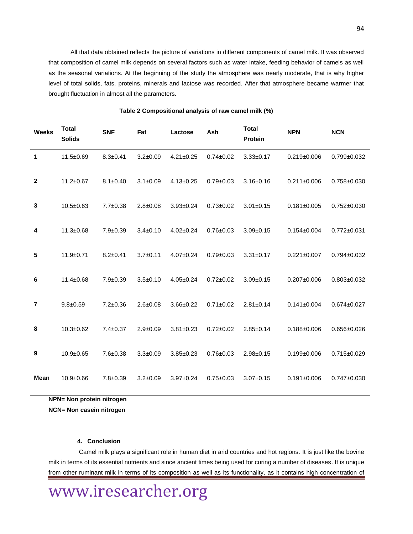All that data obtained reflects the picture of variations in different components of camel milk. It was observed that composition of camel milk depends on several factors such as water intake, feeding behavior of camels as well as the seasonal variations. At the beginning of the study the atmosphere was nearly moderate, that is why higher level of total solids, fats, proteins, minerals and lactose was recorded. After that atmosphere became warmer that brought fluctuation in almost all the parameters.

| <b>Weeks</b>   | <b>Total</b><br><b>Solids</b> | <b>SNF</b>     | Fat            | Lactose         | Ash             | <b>Total</b><br><b>Protein</b> | <b>NPN</b>        | <b>NCN</b>        |
|----------------|-------------------------------|----------------|----------------|-----------------|-----------------|--------------------------------|-------------------|-------------------|
| 1              | $11.5 \pm 0.69$               | $8.3 \pm 0.41$ | $3.2 \pm 0.09$ | $4.21 \pm 0.25$ | $0.74 \pm 0.02$ | $3.33 \pm 0.17$                | $0.219 \pm 0.006$ | $0.799 + 0.032$   |
| $\mathbf{2}$   | $11.2 \pm 0.67$               | $8.1 \pm 0.40$ | $3.1 \pm 0.09$ | $4.13 \pm 0.25$ | $0.79 + 0.03$   | $3.16 \pm 0.16$                | $0.211 \pm 0.006$ | $0.758 + 0.030$   |
| 3              | $10.5 + 0.63$                 | $7.7 \pm 0.38$ | $2.8 \pm 0.08$ | $3.93 + 0.24$   | $0.73 + 0.02$   | $3.01 \pm 0.15$                | $0.181 \pm 0.005$ | $0.752 \pm 0.030$ |
| 4              | $11.3 + 0.68$                 | $7.9 + 0.39$   | $3.4 \pm 0.10$ | $4.02 \pm 0.24$ | $0.76 \pm 0.03$ | $3.09 + 0.15$                  | $0.154 \pm 0.004$ | $0.772 \pm 0.031$ |
| 5              | $11.9+0.71$                   | $8.2 \pm 0.41$ | $3.7+0.11$     | $4.07 + 0.24$   | $0.79 + 0.03$   | $3.31 \pm 0.17$                | $0.221 \pm 0.007$ | $0.794 \pm 0.032$ |
| 6              | $11.4 \pm 0.68$               | $7.9 \pm 0.39$ | $3.5+0.10$     | $4.05 \pm 0.24$ | $0.72 \pm 0.02$ | $3.09 + 0.15$                  | $0.207 \pm 0.006$ | $0.803 \pm 0.032$ |
| $\overline{7}$ | $9.8 \pm 0.59$                | $7.2 \pm 0.36$ | $2.6 \pm 0.08$ | $3.66 \pm 0.22$ | $0.71 \pm 0.02$ | $2.81 \pm 0.14$                | $0.141 \pm 0.004$ | $0.674 \pm 0.027$ |
| 8              | $10.3 + 0.62$                 | $7.4 \pm 0.37$ | $2.9 + 0.09$   | $3.81 \pm 0.23$ | $0.72 \pm 0.02$ | $2.85 \pm 0.14$                | $0.188 + 0.006$   | $0.656 \pm 0.026$ |
| 9              | $10.9 + 0.65$                 | $7.6 + 0.38$   | $3.3 + 0.09$   | $3.85 \pm 0.23$ | $0.76 + 0.03$   | $2.98 + 0.15$                  | $0.199 + 0.006$   | $0.715 \pm 0.029$ |
| <b>Mean</b>    | $10.9 + 0.66$                 | $7.8 + 0.39$   | $3.2 \pm 0.09$ | $3.97 + 0.24$   | $0.75 \pm 0.03$ | $3.07 + 0.15$                  | $0.191 \pm 0.006$ | $0.747 \pm 0.030$ |

| Table 2 Compositional analysis of raw camel milk (%) |  |
|------------------------------------------------------|--|
|------------------------------------------------------|--|

**NPN= Non protein nitrogen**

**NCN= Non casein nitrogen**

#### **4. Conclusion**

 Camel milk plays a significant role in human diet in arid countries and hot regions. It is just like the bovine milk in terms of its essential nutrients and since ancient times being used for curing a number of diseases. It is unique from other ruminant milk in terms of its composition as well as its functionality, as it contains high concentration of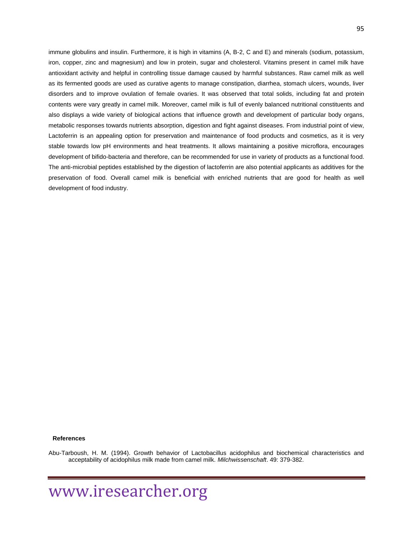immune globulins and insulin. Furthermore, it is high in vitamins (A, B-2, C and E) and minerals (sodium, potassium, iron, copper, zinc and magnesium) and low in protein, sugar and cholesterol. Vitamins present in camel milk have antioxidant activity and helpful in controlling tissue damage caused by harmful substances. Raw camel milk as well as its fermented goods are used as curative agents to manage constipation, diarrhea, stomach ulcers, wounds, liver disorders and to improve ovulation of female ovaries. It was observed that total solids, including fat and protein contents were vary greatly in camel milk. Moreover, camel milk is full of evenly balanced nutritional constituents and also displays a wide variety of biological actions that influence growth and development of particular body organs, metabolic responses towards nutrients absorption, digestion and fight against diseases. From industrial point of view, Lactoferrin is an appealing option for preservation and maintenance of food products and cosmetics, as it is very stable towards low pH environments and heat treatments. It allows maintaining a positive microflora, encourages development of bifido-bacteria and therefore, can be recommended for use in variety of products as a functional food. The anti-microbial peptides established by the digestion of lactoferrin are also potential applicants as additives for the preservation of food. Overall camel milk is beneficial with enriched nutrients that are good for health as well development of food industry.

#### **References**

Abu-Tarboush, H. M. (1994). Growth behavior of Lactobacillus acidophilus and biochemical characteristics and acceptability of acidophilus milk made from camel milk. *Milchwissenschaft*. 49: 379-382.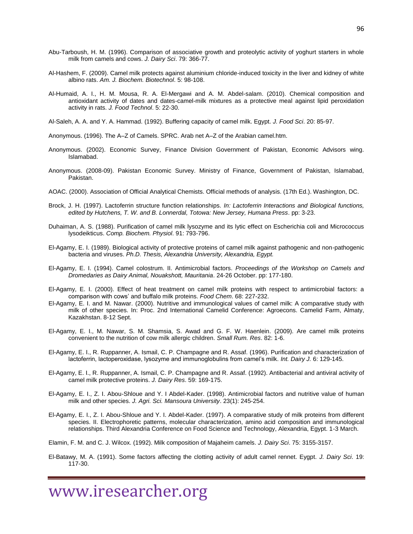- Abu-Tarboush, H. M. (1996). Comparison of associative growth and proteolytic activity of yoghurt starters in whole milk from camels and cows. *J. Dairy Sci*. 79: 366-77.
- Al-Hashem, F. (2009). Camel milk protects against aluminium chloride-induced toxicity in the liver and kidney of white albino rats. *Am. J. Biochem. Biotechnol*. 5: 98-108.
- Al-Humaid, A. I., H. M. Mousa, R. A. El-Mergawi and A. M. Abdel-salam. (2010). Chemical composition and antioxidant activity of dates and dates-camel-milk mixtures as a protective meal against lipid peroxidation activity in rats. *J. Food Technol*. 5: 22-30.
- Al-Saleh, A. A. and Y. A. Hammad. (1992). Buffering capacity of camel milk. Egypt. *J. Food Sci*. 20: 85-97.
- Anonymous. (1996). The A–Z of Camels. SPRC. Arab net A–Z of the Arabian camel.htm.
- Anonymous. (2002). Economic Survey, Finance Division Government of Pakistan, Economic Advisors wing. Islamabad.
- Anonymous. (2008-09). Pakistan Economic Survey. Ministry of Finance, Government of Pakistan, Islamabad, Pakistan.
- AOAC. (2000). Association of Official Analytical Chemists. Official methods of analysis. (17th Ed.). Washington, DC.
- Brock, J. H. (1997). Lactoferrin structure function relationships. *In: Lactoferrin Interactions and Biological functions, edited by Hutchens, T. W. and B. Lonnerdal, Totowa: New Jersey, Humana Press*. pp: 3-23.
- Duhaiman, A. S. (1988). Purification of camel milk lysozyme and its lytic effect on Escherichia coli and Micrococcus lysodeikticus. *Comp. Biochem. Physiol*. 91: 793-796.
- El-Agamy, E. I. (1989). Biological activity of protective proteins of camel milk against pathogenic and non-pathogenic bacteria and viruses. *Ph.D. Thesis, Alexandria University, Alexandria, Egypt.*
- El-Agamy, E. I. (1994). Camel colostrum. II. Antimicrobial factors. *Proceedings of the Workshop on Camels and Dromedaries as Dairy Animal, Nouakshott, Mauritania*. 24-26 October. pp: 177-180.
- El-Agamy, E. I. (2000). Effect of heat treatment on camel milk proteins with respect to antimicrobial factors: a comparison with cows' and buffalo milk proteins. *Food Chem*. 68: 227-232.
- El-Agamy, E. I. and M. Nawar. (2000). Nutritive and immunological values of camel milk: A comparative study with milk of other species. In: Proc. 2nd International Camelid Conference: Agroecons. Camelid Farm, Almaty, Kazakhstan. 8-12 Sept.
- El-Agamy, E. I., M. Nawar, S. M. Shamsia, S. Awad and G. F. W. Haenlein. (2009). Are camel milk proteins convenient to the nutrition of cow milk allergic children. *Small Rum. Res*. 82: 1-6.
- El-Agamy, E. I., R. Ruppanner, A. Ismail, C. P. Champagne and R. Assaf. (1996). Purification and characterization of lactoferrin, lactoperoxidase, lysozyme and immunoglobulins from camel's milk. *Int. Dairy J.* 6: 129-145.
- El-Agamy, E. I., R. Ruppanner, A. Ismail, C. P. Champagne and R. Assaf. (1992). Antibacterial and antiviral activity of camel milk protective proteins. *J. Dairy Res*. 59: 169-175.
- El-Agamy, E. I., Z. I. Abou-Shloue and Y. I Abdel-Kader. (1998). Antimicrobial factors and nutritive value of human milk and other species. *J. Agri. Sci. Mansoura University*. 23(1): 245-254.
- El-Agamy, E. I., Z. I. Abou-Shloue and Y. I. Abdel-Kader. (1997). A comparative study of milk proteins from different species. II. Electrophoretic patterns, molecular characterization, amino acid composition and immunological relationships. Third Alexandria Conference on Food Science and Technology, Alexandria, Egypt. 1-3 March.
- Elamin, F. M. and C. J. Wilcox. (1992). Milk composition of Majaheim camels. *J. Dairy Sci*. 75: 3155-3157.
- El-Batawy, M. A. (1991). Some factors affecting the clotting activity of adult camel rennet. Eygpt. *J. Dairy Sci*. 19: 117-30.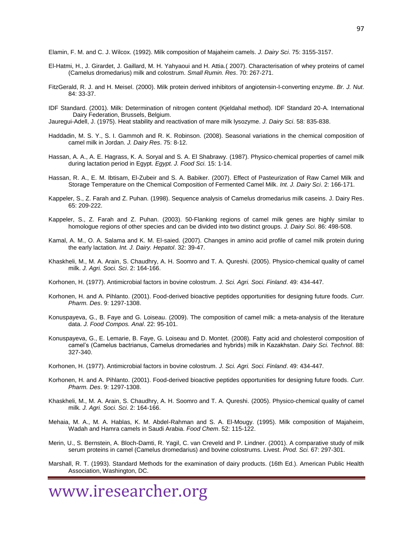Elamin, F. M. and C. J. Wilcox. (1992). Milk composition of Majaheim camels. *J. Dairy Sci*. 75: 3155-3157.

- El-Hatmi, H., J. Girardet, J. Gaillard, M. H. Yahyaoui and H. Attia.( 2007). Characterisation of whey proteins of camel (Camelus dromedarius) milk and colostrum. *Small Rumin. Res*. 70: 267-271.
- FitzGerald, R. J. and H. Meisel. (2000). Milk protein derived inhibitors of angiotensin-I-converting enzyme. *Br. J. Nut*. 84: 33-37.
- IDF Standard. (2001). Milk: Determination of nitrogen content (Kjeldahal method). IDF Standard 20-A. International Dairy Federation, Brussels, Belgium.
- Jauregui-Adell, J. (1975). Heat stability and reactivation of mare milk lysozyme. *J. Dairy Sci*. 58: 835-838.
- Haddadin, M. S. Y., S. I. Gammoh and R. K. Robinson. (2008). Seasonal variations in the chemical composition of camel milk in Jordan. *J. Dairy Res*. 75: 8-12.
- Hassan, A. A., A. E. Hagrass, K. A. Soryal and S. A. El Shabrawy. (1987). Physico-chemical properties of camel milk during lactation period in Egypt. *Egypt. J. Food Sci.* 15: 1-14.
- Hassan, R. A., E. M. Ibtisam, El-Zubeir and S. A. Babiker. (2007). Effect of Pasteurization of Raw Camel Milk and Storage Temperature on the Chemical Composition of Fermented Camel Milk. *Int. J. Dairy Sci*. 2: 166-171.
- Kappeler, S., Z. Farah and Z. Puhan. (1998). Sequence analysis of Camelus dromedarius milk caseins. J. Dairy Res. 65: 209-222.
- Kappeler, S., Z. Farah and Z. Puhan. (2003). 50-Flanking regions of camel milk genes are highly similar to homologue regions of other species and can be divided into two distinct groups. *J. Dairy Sci*. 86: 498-508.
- Kamal, A. M., O. A. Salama and K. M. El-saied. (2007). Changes in amino acid profile of camel milk protein during the early lactation*. Int. J. Dairy. Hepatol*. 32: 39-47.
- Khaskheli, M., M. A. Arain, S. Chaudhry, A. H. Soomro and T. A. Qureshi. (2005). Physico-chemical quality of camel milk. *J. Agri. Soci. Sci*. 2: 164-166.
- Korhonen, H. (1977). Antimicrobial factors in bovine colostrum. *J. Sci. Agri. Soci. Finland*. 49: 434-447.
- Korhonen, H. and A. Pihlanto. (2001). Food-derived bioactive peptides opportunities for designing future foods. *Curr. Pharm. Des*. 9: 1297-1308.
- Konuspayeva, G., B. Faye and G. Loiseau. (2009). The composition of camel milk: a meta-analysis of the literature data. *J. Food Compos. Anal*. 22: 95-101.
- Konuspayeva, G., E. Lemarie, B. Faye, G. Loiseau and D. Montet. (2008). Fatty acid and cholesterol composition of camel's (Camelus bactrianus, Camelus dromedaries and hybrids) milk in Kazakhstan. *Dairy Sci. Technol*. 88: 327-340.
- Korhonen, H. (1977). Antimicrobial factors in bovine colostrum. *J. Sci. Agri. Soci. Finland*. 49: 434-447.
- Korhonen, H. and A. Pihlanto. (2001). Food-derived bioactive peptides opportunities for designing future foods. *Curr. Pharm. Des*. 9: 1297-1308.
- Khaskheli, M., M. A. Arain, S. Chaudhry, A. H. Soomro and T. A. Qureshi. (2005). Physico-chemical quality of camel milk*. J. Agri. Soci. Sci*. 2: 164-166.
- Mehaia, M. A., M. A. Hablas, K. M. Abdel-Rahman and S. A. El-Mougy. (1995). Milk composition of Majaheim, Wadah and Hamra camels in Saudi Arabia. *Food Chem*. 52: 115-122.
- Merin, U., S. Bernstein, A. Bloch-Damti, R. Yagil, C. van Creveld and P. Lindner. (2001). A comparative study of milk serum proteins in camel (Camelus dromedarius) and bovine colostrums. Livest. *Prod. Sci.* 67: 297-301.
- Marshall, R. T. (1993). Standard Methods for the examination of dairy products. (16th Ed.). American Public Health Association, Washington, DC.